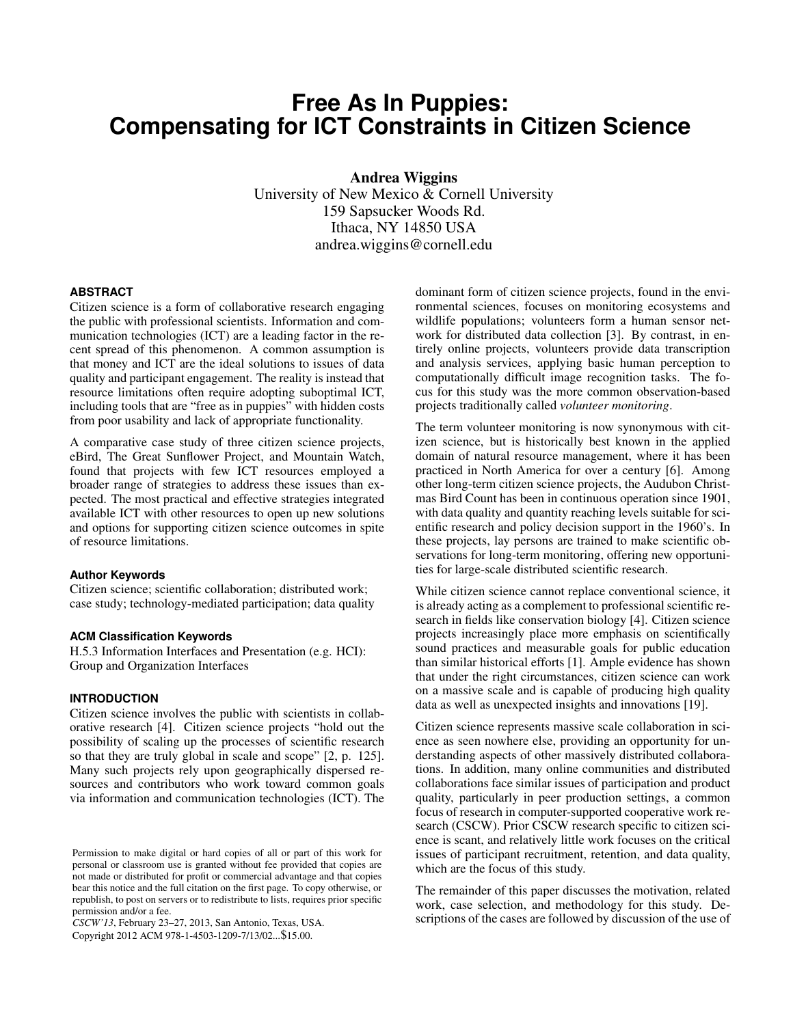# **Free As In Puppies: Compensating for ICT Constraints in Citizen Science**

Andrea Wiggins University of New Mexico & Cornell University 159 Sapsucker Woods Rd. Ithaca, NY 14850 USA andrea.wiggins@cornell.edu

# **ABSTRACT**

Citizen science is a form of collaborative research engaging the public with professional scientists. Information and communication technologies (ICT) are a leading factor in the recent spread of this phenomenon. A common assumption is that money and ICT are the ideal solutions to issues of data quality and participant engagement. The reality is instead that resource limitations often require adopting suboptimal ICT, including tools that are "free as in puppies" with hidden costs from poor usability and lack of appropriate functionality.

A comparative case study of three citizen science projects, eBird, The Great Sunflower Project, and Mountain Watch, found that projects with few ICT resources employed a broader range of strategies to address these issues than expected. The most practical and effective strategies integrated available ICT with other resources to open up new solutions and options for supporting citizen science outcomes in spite of resource limitations.

#### **Author Keywords**

Citizen science; scientific collaboration; distributed work; case study; technology-mediated participation; data quality

#### **ACM Classification Keywords**

H.5.3 Information Interfaces and Presentation (e.g. HCI): Group and Organization Interfaces

# **INTRODUCTION**

Citizen science involves the public with scientists in collaborative research [\[4\]](#page-10-0). Citizen science projects "hold out the possibility of scaling up the processes of scientific research so that they are truly global in scale and scope" [\[2,](#page-10-1) p. 125]. Many such projects rely upon geographically dispersed resources and contributors who work toward common goals via information and communication technologies (ICT). The

*CSCW'13*, February 23–27, 2013, San Antonio, Texas, USA.

Copyright 2012 ACM 978-1-4503-1209-7/13/02...\$15.00.

dominant form of citizen science projects, found in the environmental sciences, focuses on monitoring ecosystems and wildlife populations; volunteers form a human sensor network for distributed data collection [\[3\]](#page-10-2). By contrast, in entirely online projects, volunteers provide data transcription and analysis services, applying basic human perception to computationally difficult image recognition tasks. The focus for this study was the more common observation-based projects traditionally called *volunteer monitoring*.

The term volunteer monitoring is now synonymous with citizen science, but is historically best known in the applied domain of natural resource management, where it has been practiced in North America for over a century [\[6\]](#page-10-3). Among other long-term citizen science projects, the Audubon Christmas Bird Count has been in continuous operation since 1901, with data quality and quantity reaching levels suitable for scientific research and policy decision support in the 1960's. In these projects, lay persons are trained to make scientific observations for long-term monitoring, offering new opportunities for large-scale distributed scientific research.

While citizen science cannot replace conventional science, it is already acting as a complement to professional scientific research in fields like conservation biology [\[4\]](#page-10-0). Citizen science projects increasingly place more emphasis on scientifically sound practices and measurable goals for public education than similar historical efforts [\[1\]](#page-10-4). Ample evidence has shown that under the right circumstances, citizen science can work on a massive scale and is capable of producing high quality data as well as unexpected insights and innovations [\[19\]](#page-11-0).

Citizen science represents massive scale collaboration in science as seen nowhere else, providing an opportunity for understanding aspects of other massively distributed collaborations. In addition, many online communities and distributed collaborations face similar issues of participation and product quality, particularly in peer production settings, a common focus of research in computer-supported cooperative work research (CSCW). Prior CSCW research specific to citizen science is scant, and relatively little work focuses on the critical issues of participant recruitment, retention, and data quality, which are the focus of this study.

The remainder of this paper discusses the motivation, related work, case selection, and methodology for this study. Descriptions of the cases are followed by discussion of the use of

Permission to make digital or hard copies of all or part of this work for personal or classroom use is granted without fee provided that copies are not made or distributed for profit or commercial advantage and that copies bear this notice and the full citation on the first page. To copy otherwise, or republish, to post on servers or to redistribute to lists, requires prior specific permission and/or a fee.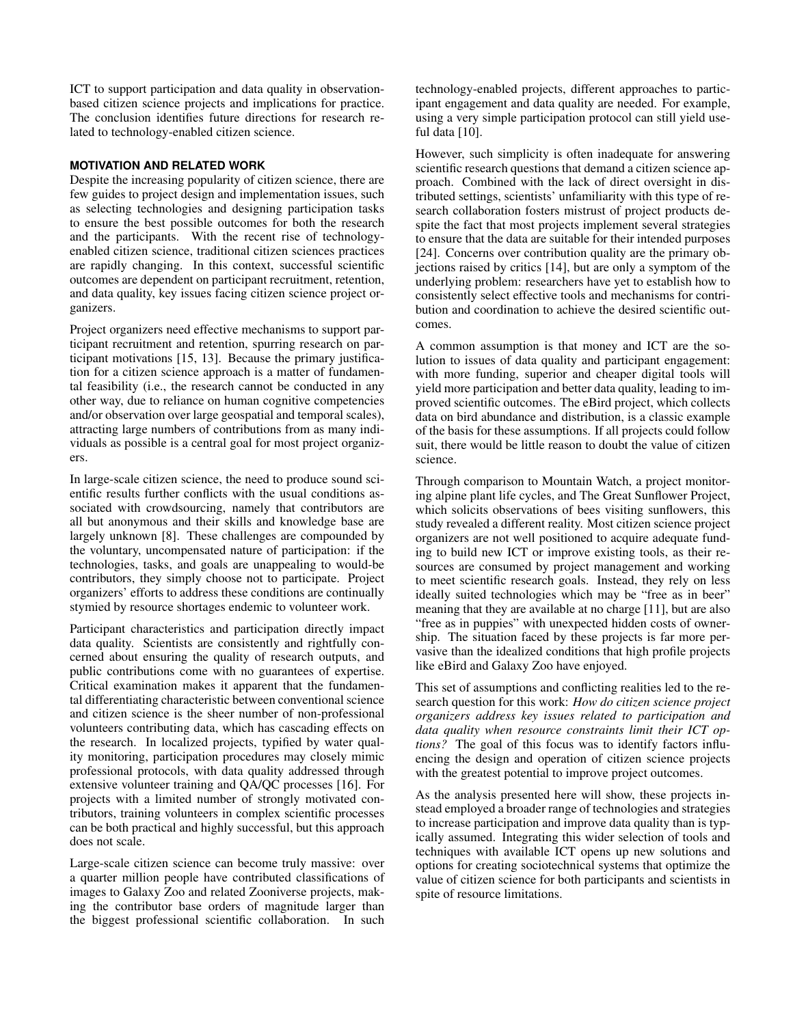ICT to support participation and data quality in observationbased citizen science projects and implications for practice. The conclusion identifies future directions for research related to technology-enabled citizen science.

# **MOTIVATION AND RELATED WORK**

Despite the increasing popularity of citizen science, there are few guides to project design and implementation issues, such as selecting technologies and designing participation tasks to ensure the best possible outcomes for both the research and the participants. With the recent rise of technologyenabled citizen science, traditional citizen sciences practices are rapidly changing. In this context, successful scientific outcomes are dependent on participant recruitment, retention, and data quality, key issues facing citizen science project organizers.

Project organizers need effective mechanisms to support participant recruitment and retention, spurring research on participant motivations [\[15,](#page-10-5) [13\]](#page-10-6). Because the primary justification for a citizen science approach is a matter of fundamental feasibility (i.e., the research cannot be conducted in any other way, due to reliance on human cognitive competencies and/or observation over large geospatial and temporal scales), attracting large numbers of contributions from as many individuals as possible is a central goal for most project organizers.

In large-scale citizen science, the need to produce sound scientific results further conflicts with the usual conditions associated with crowdsourcing, namely that contributors are all but anonymous and their skills and knowledge base are largely unknown [\[8\]](#page-10-7). These challenges are compounded by the voluntary, uncompensated nature of participation: if the technologies, tasks, and goals are unappealing to would-be contributors, they simply choose not to participate. Project organizers' efforts to address these conditions are continually stymied by resource shortages endemic to volunteer work.

Participant characteristics and participation directly impact data quality. Scientists are consistently and rightfully concerned about ensuring the quality of research outputs, and public contributions come with no guarantees of expertise. Critical examination makes it apparent that the fundamental differentiating characteristic between conventional science and citizen science is the sheer number of non-professional volunteers contributing data, which has cascading effects on the research. In localized projects, typified by water quality monitoring, participation procedures may closely mimic professional protocols, with data quality addressed through extensive volunteer training and QA/QC processes [\[16\]](#page-10-8). For projects with a limited number of strongly motivated contributors, training volunteers in complex scientific processes can be both practical and highly successful, but this approach does not scale.

Large-scale citizen science can become truly massive: over a quarter million people have contributed classifications of images to Galaxy Zoo and related Zooniverse projects, making the contributor base orders of magnitude larger than the biggest professional scientific collaboration. In such

technology-enabled projects, different approaches to participant engagement and data quality are needed. For example, using a very simple participation protocol can still yield useful data [\[10\]](#page-10-9).

However, such simplicity is often inadequate for answering scientific research questions that demand a citizen science approach. Combined with the lack of direct oversight in distributed settings, scientists' unfamiliarity with this type of research collaboration fosters mistrust of project products despite the fact that most projects implement several strategies to ensure that the data are suitable for their intended purposes [\[24\]](#page-11-1). Concerns over contribution quality are the primary objections raised by critics [\[14\]](#page-10-10), but are only a symptom of the underlying problem: researchers have yet to establish how to consistently select effective tools and mechanisms for contribution and coordination to achieve the desired scientific outcomes.

A common assumption is that money and ICT are the solution to issues of data quality and participant engagement: with more funding, superior and cheaper digital tools will yield more participation and better data quality, leading to improved scientific outcomes. The eBird project, which collects data on bird abundance and distribution, is a classic example of the basis for these assumptions. If all projects could follow suit, there would be little reason to doubt the value of citizen science.

Through comparison to Mountain Watch, a project monitoring alpine plant life cycles, and The Great Sunflower Project, which solicits observations of bees visiting sunflowers, this study revealed a different reality. Most citizen science project organizers are not well positioned to acquire adequate funding to build new ICT or improve existing tools, as their resources are consumed by project management and working to meet scientific research goals. Instead, they rely on less ideally suited technologies which may be "free as in beer" meaning that they are available at no charge [\[11\]](#page-10-11), but are also "free as in puppies" with unexpected hidden costs of ownership. The situation faced by these projects is far more pervasive than the idealized conditions that high profile projects like eBird and Galaxy Zoo have enjoyed.

This set of assumptions and conflicting realities led to the research question for this work: *How do citizen science project organizers address key issues related to participation and data quality when resource constraints limit their ICT options?* The goal of this focus was to identify factors influencing the design and operation of citizen science projects with the greatest potential to improve project outcomes.

As the analysis presented here will show, these projects instead employed a broader range of technologies and strategies to increase participation and improve data quality than is typically assumed. Integrating this wider selection of tools and techniques with available ICT opens up new solutions and options for creating sociotechnical systems that optimize the value of citizen science for both participants and scientists in spite of resource limitations.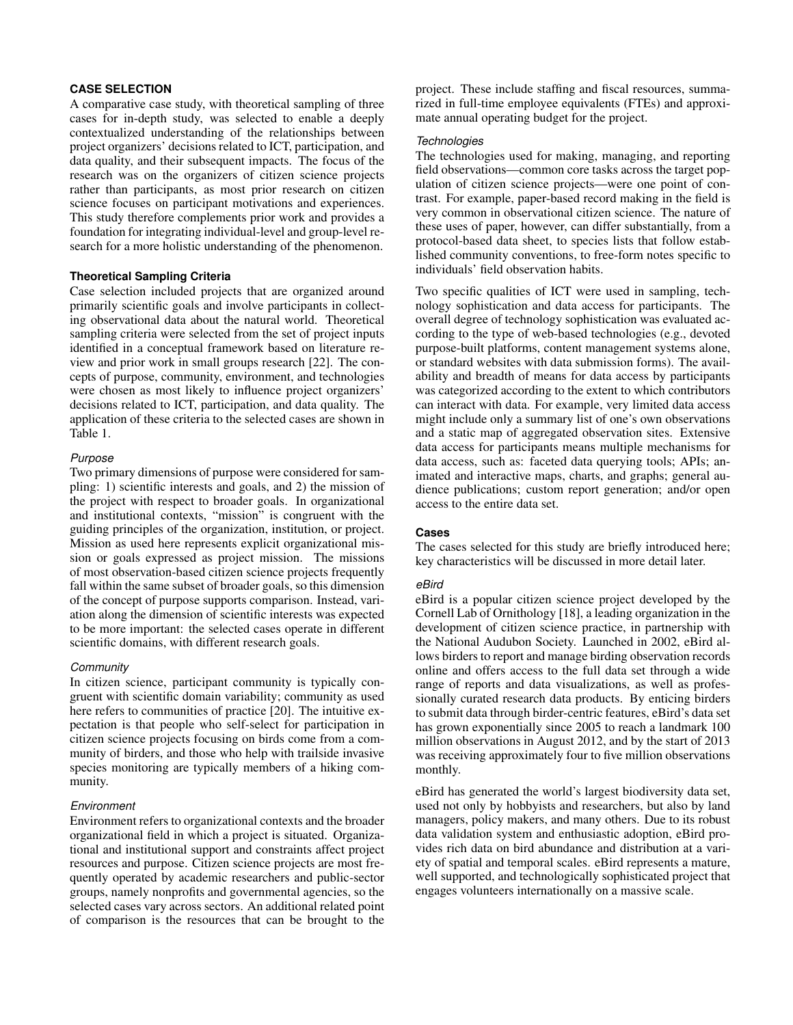## **CASE SELECTION**

A comparative case study, with theoretical sampling of three cases for in-depth study, was selected to enable a deeply contextualized understanding of the relationships between project organizers' decisions related to ICT, participation, and data quality, and their subsequent impacts. The focus of the research was on the organizers of citizen science projects rather than participants, as most prior research on citizen science focuses on participant motivations and experiences. This study therefore complements prior work and provides a foundation for integrating individual-level and group-level research for a more holistic understanding of the phenomenon.

## **Theoretical Sampling Criteria**

Case selection included projects that are organized around primarily scientific goals and involve participants in collecting observational data about the natural world. Theoretical sampling criteria were selected from the set of project inputs identified in a conceptual framework based on literature review and prior work in small groups research [\[22\]](#page-11-2). The concepts of purpose, community, environment, and technologies were chosen as most likely to influence project organizers' decisions related to ICT, participation, and data quality. The application of these criteria to the selected cases are shown in Table [1.](#page-3-0)

#### *Purpose*

Two primary dimensions of purpose were considered for sampling: 1) scientific interests and goals, and 2) the mission of the project with respect to broader goals. In organizational and institutional contexts, "mission" is congruent with the guiding principles of the organization, institution, or project. Mission as used here represents explicit organizational mission or goals expressed as project mission. The missions of most observation-based citizen science projects frequently fall within the same subset of broader goals, so this dimension of the concept of purpose supports comparison. Instead, variation along the dimension of scientific interests was expected to be more important: the selected cases operate in different scientific domains, with different research goals.

## *Community*

In citizen science, participant community is typically congruent with scientific domain variability; community as used here refers to communities of practice [\[20\]](#page-11-3). The intuitive expectation is that people who self-select for participation in citizen science projects focusing on birds come from a community of birders, and those who help with trailside invasive species monitoring are typically members of a hiking community.

## *Environment*

Environment refers to organizational contexts and the broader organizational field in which a project is situated. Organizational and institutional support and constraints affect project resources and purpose. Citizen science projects are most frequently operated by academic researchers and public-sector groups, namely nonprofits and governmental agencies, so the selected cases vary across sectors. An additional related point of comparison is the resources that can be brought to the

project. These include staffing and fiscal resources, summarized in full-time employee equivalents (FTEs) and approximate annual operating budget for the project.

## *Technologies*

The technologies used for making, managing, and reporting field observations—common core tasks across the target population of citizen science projects—were one point of contrast. For example, paper-based record making in the field is very common in observational citizen science. The nature of these uses of paper, however, can differ substantially, from a protocol-based data sheet, to species lists that follow established community conventions, to free-form notes specific to individuals' field observation habits.

Two specific qualities of ICT were used in sampling, technology sophistication and data access for participants. The overall degree of technology sophistication was evaluated according to the type of web-based technologies (e.g., devoted purpose-built platforms, content management systems alone, or standard websites with data submission forms). The availability and breadth of means for data access by participants was categorized according to the extent to which contributors can interact with data. For example, very limited data access might include only a summary list of one's own observations and a static map of aggregated observation sites. Extensive data access for participants means multiple mechanisms for data access, such as: faceted data querying tools; APIs; animated and interactive maps, charts, and graphs; general audience publications; custom report generation; and/or open access to the entire data set.

## **Cases**

The cases selected for this study are briefly introduced here; key characteristics will be discussed in more detail later.

## *eBird*

eBird is a popular citizen science project developed by the Cornell Lab of Ornithology [\[18\]](#page-10-12), a leading organization in the development of citizen science practice, in partnership with the National Audubon Society. Launched in 2002, eBird allows birders to report and manage birding observation records online and offers access to the full data set through a wide range of reports and data visualizations, as well as professionally curated research data products. By enticing birders to submit data through birder-centric features, eBird's data set has grown exponentially since 2005 to reach a landmark 100 million observations in August 2012, and by the start of 2013 was receiving approximately four to five million observations monthly.

eBird has generated the world's largest biodiversity data set, used not only by hobbyists and researchers, but also by land managers, policy makers, and many others. Due to its robust data validation system and enthusiastic adoption, eBird provides rich data on bird abundance and distribution at a variety of spatial and temporal scales. eBird represents a mature, well supported, and technologically sophisticated project that engages volunteers internationally on a massive scale.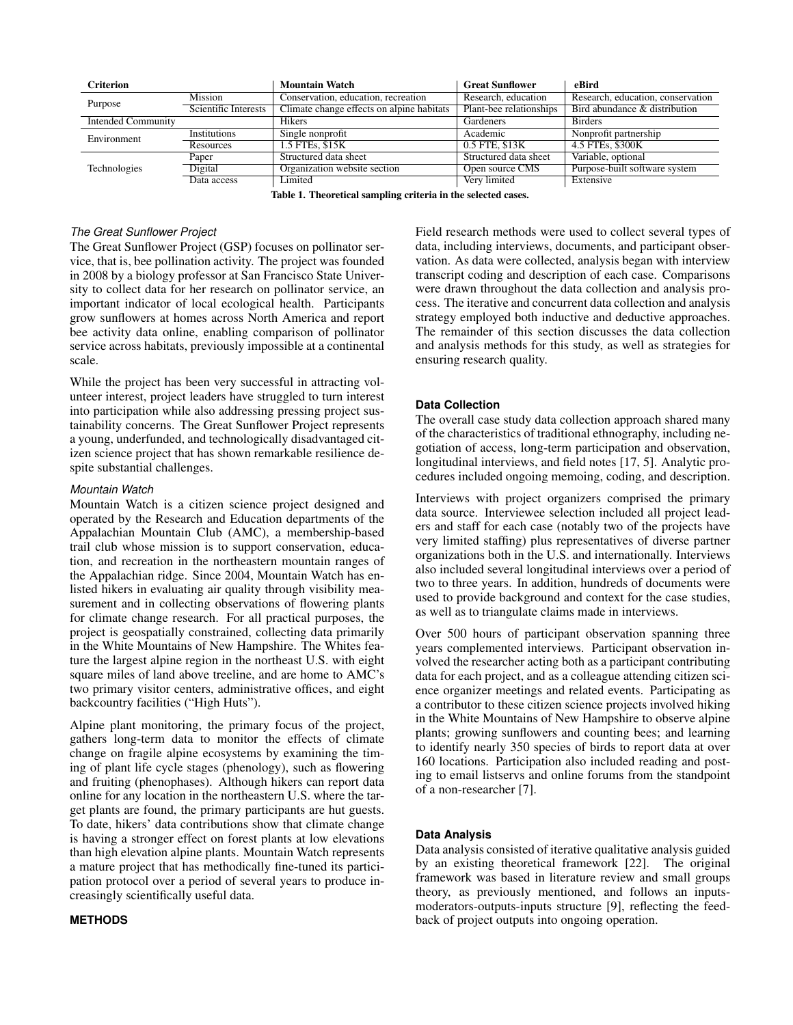| <b>Criterion</b>   |                      | <b>Mountain Watch</b>                     | <b>Great Sunflower</b>  | eBird                             |
|--------------------|----------------------|-------------------------------------------|-------------------------|-----------------------------------|
| Purpose            | <b>Mission</b>       | Conservation, education, recreation       | Research, education     | Research, education, conservation |
|                    | Scientific Interests | Climate change effects on alpine habitats | Plant-bee relationships | Bird abundance & distribution     |
| Intended Community |                      | Hikers                                    | Gardeners               | <b>Birders</b>                    |
| Environment        | Institutions         | Single nonprofit                          | Academic                | Nonprofit partnership             |
|                    | Resources            | 1.5 FTEs, \$15K                           | 0.5 FTE, \$13K          | 4.5 FTEs, \$300K                  |
| Technologies       | Paper                | Structured data sheet                     | Structured data sheet   | Variable, optional                |
|                    | Digital              | Organization website section              | Open source CMS         | Purpose-built software system     |
|                    | Data access          | Limited                                   | Very limited            | Extensive                         |

<span id="page-3-0"></span>Table 1. Theoretical sampling criteria in the selected cases.

## *The Great Sunflower Project*

The Great Sunflower Project (GSP) focuses on pollinator service, that is, bee pollination activity. The project was founded in 2008 by a biology professor at San Francisco State University to collect data for her research on pollinator service, an important indicator of local ecological health. Participants grow sunflowers at homes across North America and report bee activity data online, enabling comparison of pollinator service across habitats, previously impossible at a continental scale.

While the project has been very successful in attracting volunteer interest, project leaders have struggled to turn interest into participation while also addressing pressing project sustainability concerns. The Great Sunflower Project represents a young, underfunded, and technologically disadvantaged citizen science project that has shown remarkable resilience despite substantial challenges.

## *Mountain Watch*

Mountain Watch is a citizen science project designed and operated by the Research and Education departments of the Appalachian Mountain Club (AMC), a membership-based trail club whose mission is to support conservation, education, and recreation in the northeastern mountain ranges of the Appalachian ridge. Since 2004, Mountain Watch has enlisted hikers in evaluating air quality through visibility measurement and in collecting observations of flowering plants for climate change research. For all practical purposes, the project is geospatially constrained, collecting data primarily in the White Mountains of New Hampshire. The Whites feature the largest alpine region in the northeast U.S. with eight square miles of land above treeline, and are home to AMC's two primary visitor centers, administrative offices, and eight backcountry facilities ("High Huts").

Alpine plant monitoring, the primary focus of the project, gathers long-term data to monitor the effects of climate change on fragile alpine ecosystems by examining the timing of plant life cycle stages (phenology), such as flowering and fruiting (phenophases). Although hikers can report data online for any location in the northeastern U.S. where the target plants are found, the primary participants are hut guests. To date, hikers' data contributions show that climate change is having a stronger effect on forest plants at low elevations than high elevation alpine plants. Mountain Watch represents a mature project that has methodically fine-tuned its participation protocol over a period of several years to produce increasingly scientifically useful data.

# **METHODS**

Field research methods were used to collect several types of data, including interviews, documents, and participant observation. As data were collected, analysis began with interview transcript coding and description of each case. Comparisons were drawn throughout the data collection and analysis process. The iterative and concurrent data collection and analysis strategy employed both inductive and deductive approaches. The remainder of this section discusses the data collection and analysis methods for this study, as well as strategies for ensuring research quality.

# **Data Collection**

The overall case study data collection approach shared many of the characteristics of traditional ethnography, including negotiation of access, long-term participation and observation, longitudinal interviews, and field notes [\[17,](#page-10-13) [5\]](#page-10-14). Analytic procedures included ongoing memoing, coding, and description.

Interviews with project organizers comprised the primary data source. Interviewee selection included all project leaders and staff for each case (notably two of the projects have very limited staffing) plus representatives of diverse partner organizations both in the U.S. and internationally. Interviews also included several longitudinal interviews over a period of two to three years. In addition, hundreds of documents were used to provide background and context for the case studies, as well as to triangulate claims made in interviews.

Over 500 hours of participant observation spanning three years complemented interviews. Participant observation involved the researcher acting both as a participant contributing data for each project, and as a colleague attending citizen science organizer meetings and related events. Participating as a contributor to these citizen science projects involved hiking in the White Mountains of New Hampshire to observe alpine plants; growing sunflowers and counting bees; and learning to identify nearly 350 species of birds to report data at over 160 locations. Participation also included reading and posting to email listservs and online forums from the standpoint of a non-researcher [\[7\]](#page-10-15).

# **Data Analysis**

Data analysis consisted of iterative qualitative analysis guided by an existing theoretical framework [\[22\]](#page-11-2). The original framework was based in literature review and small groups theory, as previously mentioned, and follows an inputsmoderators-outputs-inputs structure [\[9\]](#page-10-16), reflecting the feedback of project outputs into ongoing operation.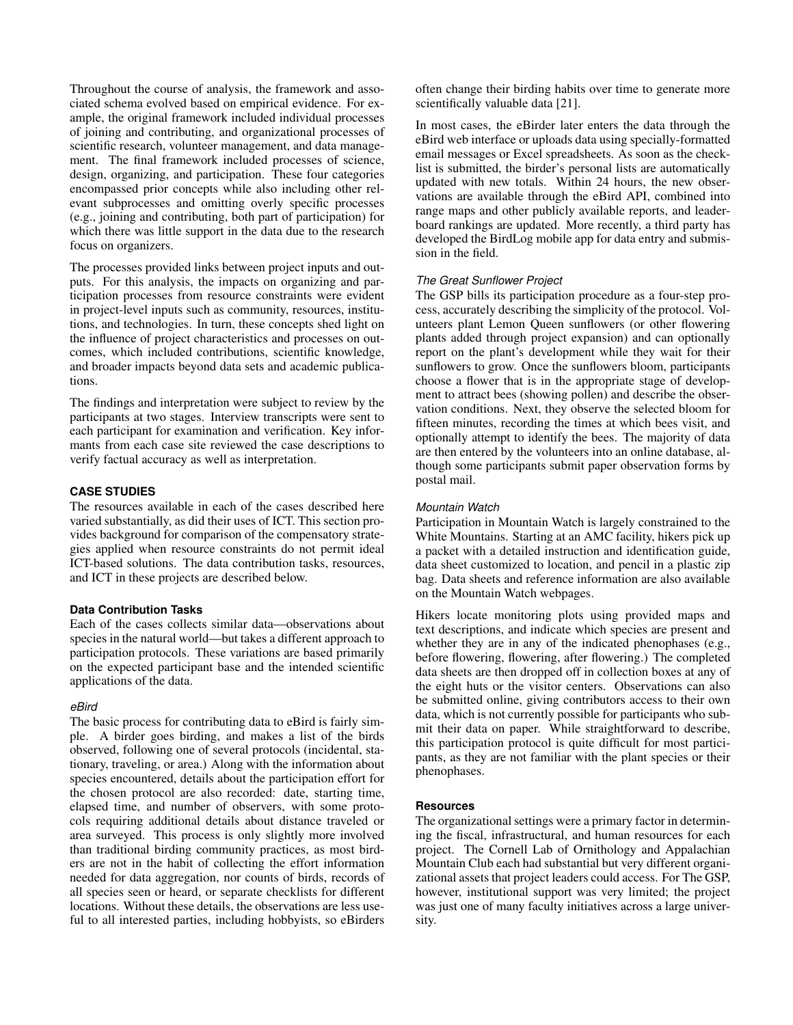Throughout the course of analysis, the framework and associated schema evolved based on empirical evidence. For example, the original framework included individual processes of joining and contributing, and organizational processes of scientific research, volunteer management, and data management. The final framework included processes of science, design, organizing, and participation. These four categories encompassed prior concepts while also including other relevant subprocesses and omitting overly specific processes (e.g., joining and contributing, both part of participation) for which there was little support in the data due to the research focus on organizers.

The processes provided links between project inputs and outputs. For this analysis, the impacts on organizing and participation processes from resource constraints were evident in project-level inputs such as community, resources, institutions, and technologies. In turn, these concepts shed light on the influence of project characteristics and processes on outcomes, which included contributions, scientific knowledge, and broader impacts beyond data sets and academic publications.

The findings and interpretation were subject to review by the participants at two stages. Interview transcripts were sent to each participant for examination and verification. Key informants from each case site reviewed the case descriptions to verify factual accuracy as well as interpretation.

# **CASE STUDIES**

The resources available in each of the cases described here varied substantially, as did their uses of ICT. This section provides background for comparison of the compensatory strategies applied when resource constraints do not permit ideal ICT-based solutions. The data contribution tasks, resources, and ICT in these projects are described below.

# **Data Contribution Tasks**

Each of the cases collects similar data—observations about species in the natural world—but takes a different approach to participation protocols. These variations are based primarily on the expected participant base and the intended scientific applications of the data.

# *eBird*

The basic process for contributing data to eBird is fairly simple. A birder goes birding, and makes a list of the birds observed, following one of several protocols (incidental, stationary, traveling, or area.) Along with the information about species encountered, details about the participation effort for the chosen protocol are also recorded: date, starting time, elapsed time, and number of observers, with some protocols requiring additional details about distance traveled or area surveyed. This process is only slightly more involved than traditional birding community practices, as most birders are not in the habit of collecting the effort information needed for data aggregation, nor counts of birds, records of all species seen or heard, or separate checklists for different locations. Without these details, the observations are less useful to all interested parties, including hobbyists, so eBirders

often change their birding habits over time to generate more scientifically valuable data [\[21\]](#page-11-4).

In most cases, the eBirder later enters the data through the eBird web interface or uploads data using specially-formatted email messages or Excel spreadsheets. As soon as the checklist is submitted, the birder's personal lists are automatically updated with new totals. Within 24 hours, the new observations are available through the eBird API, combined into range maps and other publicly available reports, and leaderboard rankings are updated. More recently, a third party has developed the BirdLog mobile app for data entry and submission in the field.

# *The Great Sunflower Project*

The GSP bills its participation procedure as a four-step process, accurately describing the simplicity of the protocol. Volunteers plant Lemon Queen sunflowers (or other flowering plants added through project expansion) and can optionally report on the plant's development while they wait for their sunflowers to grow. Once the sunflowers bloom, participants choose a flower that is in the appropriate stage of development to attract bees (showing pollen) and describe the observation conditions. Next, they observe the selected bloom for fifteen minutes, recording the times at which bees visit, and optionally attempt to identify the bees. The majority of data are then entered by the volunteers into an online database, although some participants submit paper observation forms by postal mail.

## *Mountain Watch*

Participation in Mountain Watch is largely constrained to the White Mountains. Starting at an AMC facility, hikers pick up a packet with a detailed instruction and identification guide, data sheet customized to location, and pencil in a plastic zip bag. Data sheets and reference information are also available on the Mountain Watch webpages.

Hikers locate monitoring plots using provided maps and text descriptions, and indicate which species are present and whether they are in any of the indicated phenophases (e.g., before flowering, flowering, after flowering.) The completed data sheets are then dropped off in collection boxes at any of the eight huts or the visitor centers. Observations can also be submitted online, giving contributors access to their own data, which is not currently possible for participants who submit their data on paper. While straightforward to describe, this participation protocol is quite difficult for most participants, as they are not familiar with the plant species or their phenophases.

## **Resources**

The organizational settings were a primary factor in determining the fiscal, infrastructural, and human resources for each project. The Cornell Lab of Ornithology and Appalachian Mountain Club each had substantial but very different organizational assets that project leaders could access. For The GSP, however, institutional support was very limited; the project was just one of many faculty initiatives across a large university.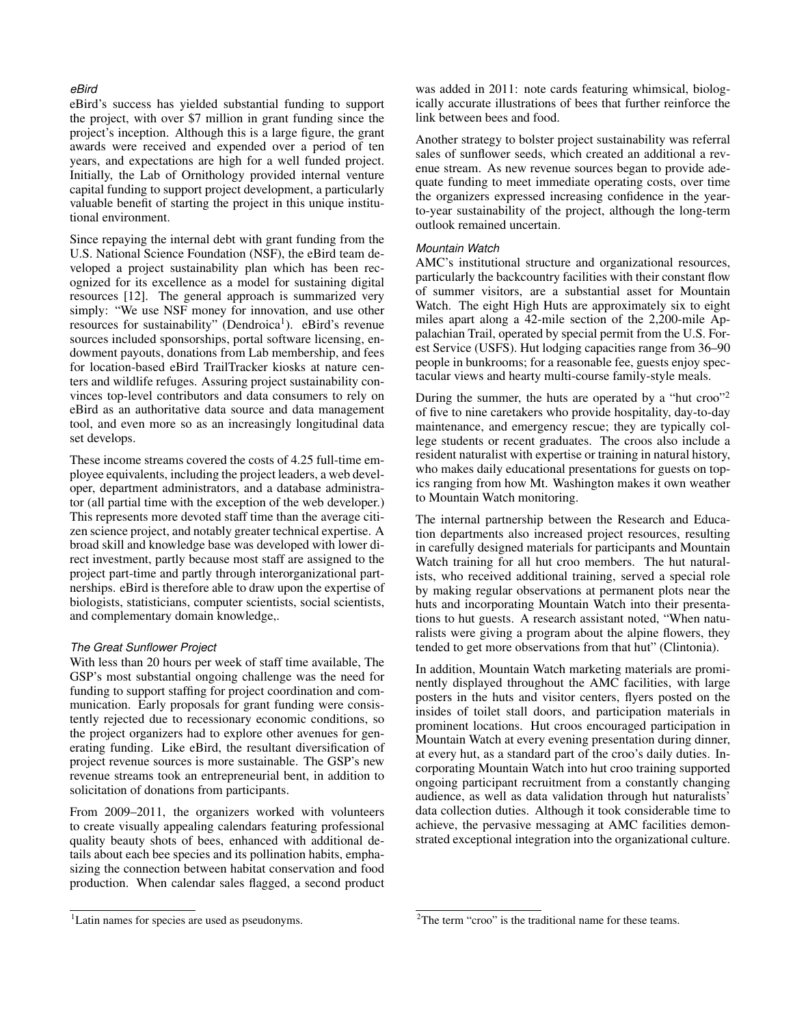# *eBird*

eBird's success has yielded substantial funding to support the project, with over \$7 million in grant funding since the project's inception. Although this is a large figure, the grant awards were received and expended over a period of ten years, and expectations are high for a well funded project. Initially, the Lab of Ornithology provided internal venture capital funding to support project development, a particularly valuable benefit of starting the project in this unique institutional environment.

Since repaying the internal debt with grant funding from the U.S. National Science Foundation (NSF), the eBird team developed a project sustainability plan which has been recognized for its excellence as a model for sustaining digital resources [\[12\]](#page-10-17). The general approach is summarized very simply: "We use NSF money for innovation, and use other resources for sustainability" (Dendroica<sup>[1](#page-5-0)</sup>). eBird's revenue sources included sponsorships, portal software licensing, endowment payouts, donations from Lab membership, and fees for location-based eBird TrailTracker kiosks at nature centers and wildlife refuges. Assuring project sustainability convinces top-level contributors and data consumers to rely on eBird as an authoritative data source and data management tool, and even more so as an increasingly longitudinal data set develops.

These income streams covered the costs of 4.25 full-time employee equivalents, including the project leaders, a web developer, department administrators, and a database administrator (all partial time with the exception of the web developer.) This represents more devoted staff time than the average citizen science project, and notably greater technical expertise. A broad skill and knowledge base was developed with lower direct investment, partly because most staff are assigned to the project part-time and partly through interorganizational partnerships. eBird is therefore able to draw upon the expertise of biologists, statisticians, computer scientists, social scientists, and complementary domain knowledge,.

## *The Great Sunflower Project*

With less than 20 hours per week of staff time available, The GSP's most substantial ongoing challenge was the need for funding to support staffing for project coordination and communication. Early proposals for grant funding were consistently rejected due to recessionary economic conditions, so the project organizers had to explore other avenues for generating funding. Like eBird, the resultant diversification of project revenue sources is more sustainable. The GSP's new revenue streams took an entrepreneurial bent, in addition to solicitation of donations from participants.

From 2009–2011, the organizers worked with volunteers to create visually appealing calendars featuring professional quality beauty shots of bees, enhanced with additional details about each bee species and its pollination habits, emphasizing the connection between habitat conservation and food production. When calendar sales flagged, a second product

was added in 2011: note cards featuring whimsical, biologically accurate illustrations of bees that further reinforce the link between bees and food.

Another strategy to bolster project sustainability was referral sales of sunflower seeds, which created an additional a revenue stream. As new revenue sources began to provide adequate funding to meet immediate operating costs, over time the organizers expressed increasing confidence in the yearto-year sustainability of the project, although the long-term outlook remained uncertain.

## *Mountain Watch*

AMC's institutional structure and organizational resources, particularly the backcountry facilities with their constant flow of summer visitors, are a substantial asset for Mountain Watch. The eight High Huts are approximately six to eight miles apart along a 42-mile section of the 2,200-mile Appalachian Trail, operated by special permit from the U.S. Forest Service (USFS). Hut lodging capacities range from 36–90 people in bunkrooms; for a reasonable fee, guests enjoy spectacular views and hearty multi-course family-style meals.

During the summer, the huts are operated by a "hut croo"[2](#page-5-1) of five to nine caretakers who provide hospitality, day-to-day maintenance, and emergency rescue; they are typically college students or recent graduates. The croos also include a resident naturalist with expertise or training in natural history, who makes daily educational presentations for guests on topics ranging from how Mt. Washington makes it own weather to Mountain Watch monitoring.

The internal partnership between the Research and Education departments also increased project resources, resulting in carefully designed materials for participants and Mountain Watch training for all hut croo members. The hut naturalists, who received additional training, served a special role by making regular observations at permanent plots near the huts and incorporating Mountain Watch into their presentations to hut guests. A research assistant noted, "When naturalists were giving a program about the alpine flowers, they tended to get more observations from that hut" (Clintonia).

In addition, Mountain Watch marketing materials are prominently displayed throughout the AMC facilities, with large posters in the huts and visitor centers, flyers posted on the insides of toilet stall doors, and participation materials in prominent locations. Hut croos encouraged participation in Mountain Watch at every evening presentation during dinner, at every hut, as a standard part of the croo's daily duties. Incorporating Mountain Watch into hut croo training supported ongoing participant recruitment from a constantly changing audience, as well as data validation through hut naturalists' data collection duties. Although it took considerable time to achieve, the pervasive messaging at AMC facilities demonstrated exceptional integration into the organizational culture.

<span id="page-5-0"></span><sup>&</sup>lt;sup>1</sup>Latin names for species are used as pseudonyms.

<span id="page-5-1"></span><sup>&</sup>lt;sup>2</sup>The term "croo" is the traditional name for these teams.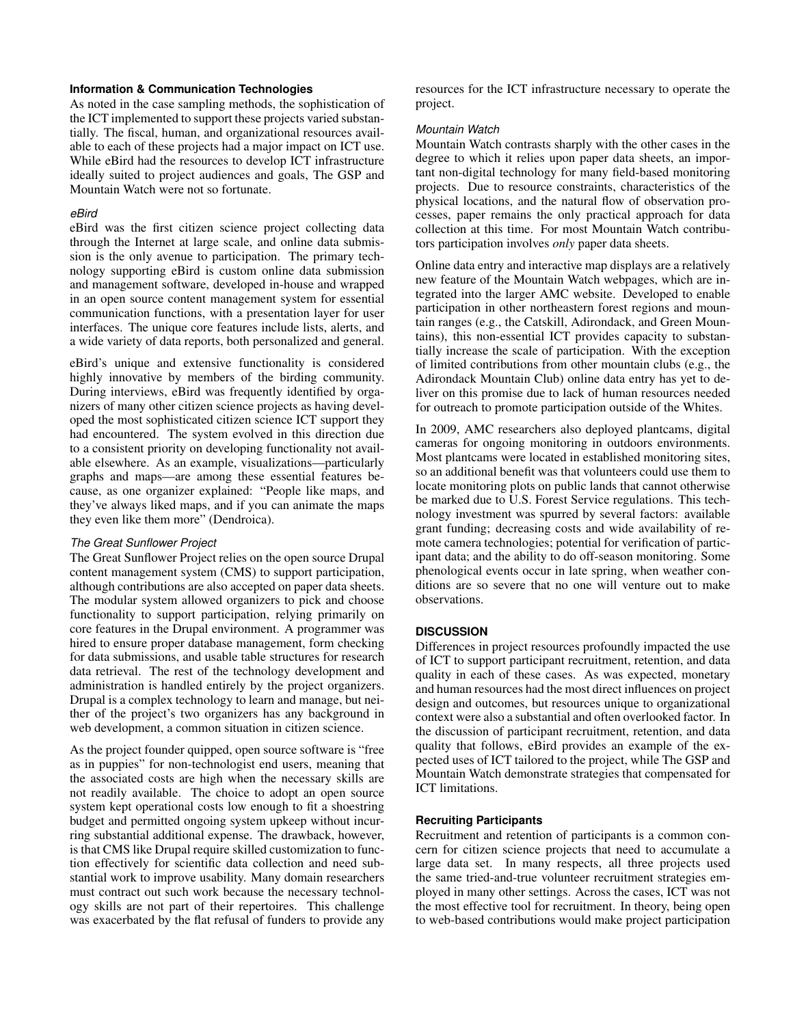## **Information & Communication Technologies**

As noted in the case sampling methods, the sophistication of the ICT implemented to support these projects varied substantially. The fiscal, human, and organizational resources available to each of these projects had a major impact on ICT use. While eBird had the resources to develop ICT infrastructure ideally suited to project audiences and goals, The GSP and Mountain Watch were not so fortunate.

# *eBird*

eBird was the first citizen science project collecting data through the Internet at large scale, and online data submission is the only avenue to participation. The primary technology supporting eBird is custom online data submission and management software, developed in-house and wrapped in an open source content management system for essential communication functions, with a presentation layer for user interfaces. The unique core features include lists, alerts, and a wide variety of data reports, both personalized and general.

eBird's unique and extensive functionality is considered highly innovative by members of the birding community. During interviews, eBird was frequently identified by organizers of many other citizen science projects as having developed the most sophisticated citizen science ICT support they had encountered. The system evolved in this direction due to a consistent priority on developing functionality not available elsewhere. As an example, visualizations—particularly graphs and maps—are among these essential features because, as one organizer explained: "People like maps, and they've always liked maps, and if you can animate the maps they even like them more" (Dendroica).

## *The Great Sunflower Project*

The Great Sunflower Project relies on the open source Drupal content management system (CMS) to support participation, although contributions are also accepted on paper data sheets. The modular system allowed organizers to pick and choose functionality to support participation, relying primarily on core features in the Drupal environment. A programmer was hired to ensure proper database management, form checking for data submissions, and usable table structures for research data retrieval. The rest of the technology development and administration is handled entirely by the project organizers. Drupal is a complex technology to learn and manage, but neither of the project's two organizers has any background in web development, a common situation in citizen science.

As the project founder quipped, open source software is "free as in puppies" for non-technologist end users, meaning that the associated costs are high when the necessary skills are not readily available. The choice to adopt an open source system kept operational costs low enough to fit a shoestring budget and permitted ongoing system upkeep without incurring substantial additional expense. The drawback, however, is that CMS like Drupal require skilled customization to function effectively for scientific data collection and need substantial work to improve usability. Many domain researchers must contract out such work because the necessary technology skills are not part of their repertoires. This challenge was exacerbated by the flat refusal of funders to provide any

resources for the ICT infrastructure necessary to operate the project.

## *Mountain Watch*

Mountain Watch contrasts sharply with the other cases in the degree to which it relies upon paper data sheets, an important non-digital technology for many field-based monitoring projects. Due to resource constraints, characteristics of the physical locations, and the natural flow of observation processes, paper remains the only practical approach for data collection at this time. For most Mountain Watch contributors participation involves *only* paper data sheets.

Online data entry and interactive map displays are a relatively new feature of the Mountain Watch webpages, which are integrated into the larger AMC website. Developed to enable participation in other northeastern forest regions and mountain ranges (e.g., the Catskill, Adirondack, and Green Mountains), this non-essential ICT provides capacity to substantially increase the scale of participation. With the exception of limited contributions from other mountain clubs (e.g., the Adirondack Mountain Club) online data entry has yet to deliver on this promise due to lack of human resources needed for outreach to promote participation outside of the Whites.

In 2009, AMC researchers also deployed plantcams, digital cameras for ongoing monitoring in outdoors environments. Most plantcams were located in established monitoring sites, so an additional benefit was that volunteers could use them to locate monitoring plots on public lands that cannot otherwise be marked due to U.S. Forest Service regulations. This technology investment was spurred by several factors: available grant funding; decreasing costs and wide availability of remote camera technologies; potential for verification of participant data; and the ability to do off-season monitoring. Some phenological events occur in late spring, when weather conditions are so severe that no one will venture out to make observations.

# **DISCUSSION**

Differences in project resources profoundly impacted the use of ICT to support participant recruitment, retention, and data quality in each of these cases. As was expected, monetary and human resources had the most direct influences on project design and outcomes, but resources unique to organizational context were also a substantial and often overlooked factor. In the discussion of participant recruitment, retention, and data quality that follows, eBird provides an example of the expected uses of ICT tailored to the project, while The GSP and Mountain Watch demonstrate strategies that compensated for ICT limitations.

## **Recruiting Participants**

Recruitment and retention of participants is a common concern for citizen science projects that need to accumulate a large data set. In many respects, all three projects used the same tried-and-true volunteer recruitment strategies employed in many other settings. Across the cases, ICT was not the most effective tool for recruitment. In theory, being open to web-based contributions would make project participation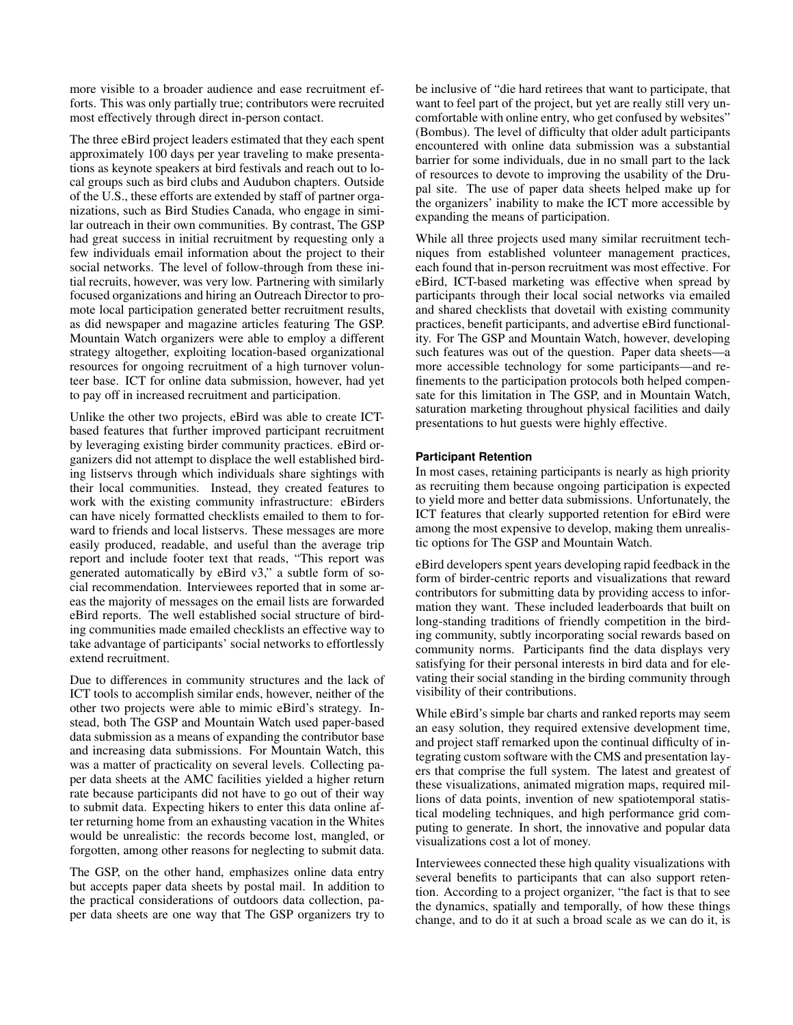more visible to a broader audience and ease recruitment efforts. This was only partially true; contributors were recruited most effectively through direct in-person contact.

The three eBird project leaders estimated that they each spent approximately 100 days per year traveling to make presentations as keynote speakers at bird festivals and reach out to local groups such as bird clubs and Audubon chapters. Outside of the U.S., these efforts are extended by staff of partner organizations, such as Bird Studies Canada, who engage in similar outreach in their own communities. By contrast, The GSP had great success in initial recruitment by requesting only a few individuals email information about the project to their social networks. The level of follow-through from these initial recruits, however, was very low. Partnering with similarly focused organizations and hiring an Outreach Director to promote local participation generated better recruitment results, as did newspaper and magazine articles featuring The GSP. Mountain Watch organizers were able to employ a different strategy altogether, exploiting location-based organizational resources for ongoing recruitment of a high turnover volunteer base. ICT for online data submission, however, had yet to pay off in increased recruitment and participation.

Unlike the other two projects, eBird was able to create ICTbased features that further improved participant recruitment by leveraging existing birder community practices. eBird organizers did not attempt to displace the well established birding listservs through which individuals share sightings with their local communities. Instead, they created features to work with the existing community infrastructure: eBirders can have nicely formatted checklists emailed to them to forward to friends and local listservs. These messages are more easily produced, readable, and useful than the average trip report and include footer text that reads, "This report was generated automatically by eBird v3," a subtle form of social recommendation. Interviewees reported that in some areas the majority of messages on the email lists are forwarded eBird reports. The well established social structure of birding communities made emailed checklists an effective way to take advantage of participants' social networks to effortlessly extend recruitment.

Due to differences in community structures and the lack of ICT tools to accomplish similar ends, however, neither of the other two projects were able to mimic eBird's strategy. Instead, both The GSP and Mountain Watch used paper-based data submission as a means of expanding the contributor base and increasing data submissions. For Mountain Watch, this was a matter of practicality on several levels. Collecting paper data sheets at the AMC facilities yielded a higher return rate because participants did not have to go out of their way to submit data. Expecting hikers to enter this data online after returning home from an exhausting vacation in the Whites would be unrealistic: the records become lost, mangled, or forgotten, among other reasons for neglecting to submit data.

The GSP, on the other hand, emphasizes online data entry but accepts paper data sheets by postal mail. In addition to the practical considerations of outdoors data collection, paper data sheets are one way that The GSP organizers try to

be inclusive of "die hard retirees that want to participate, that want to feel part of the project, but yet are really still very uncomfortable with online entry, who get confused by websites" (Bombus). The level of difficulty that older adult participants encountered with online data submission was a substantial barrier for some individuals, due in no small part to the lack of resources to devote to improving the usability of the Drupal site. The use of paper data sheets helped make up for the organizers' inability to make the ICT more accessible by expanding the means of participation.

While all three projects used many similar recruitment techniques from established volunteer management practices, each found that in-person recruitment was most effective. For eBird, ICT-based marketing was effective when spread by participants through their local social networks via emailed and shared checklists that dovetail with existing community practices, benefit participants, and advertise eBird functionality. For The GSP and Mountain Watch, however, developing such features was out of the question. Paper data sheets—a more accessible technology for some participants—and refinements to the participation protocols both helped compensate for this limitation in The GSP, and in Mountain Watch, saturation marketing throughout physical facilities and daily presentations to hut guests were highly effective.

# **Participant Retention**

In most cases, retaining participants is nearly as high priority as recruiting them because ongoing participation is expected to yield more and better data submissions. Unfortunately, the ICT features that clearly supported retention for eBird were among the most expensive to develop, making them unrealistic options for The GSP and Mountain Watch.

eBird developers spent years developing rapid feedback in the form of birder-centric reports and visualizations that reward contributors for submitting data by providing access to information they want. These included leaderboards that built on long-standing traditions of friendly competition in the birding community, subtly incorporating social rewards based on community norms. Participants find the data displays very satisfying for their personal interests in bird data and for elevating their social standing in the birding community through visibility of their contributions.

While eBird's simple bar charts and ranked reports may seem an easy solution, they required extensive development time, and project staff remarked upon the continual difficulty of integrating custom software with the CMS and presentation layers that comprise the full system. The latest and greatest of these visualizations, animated migration maps, required millions of data points, invention of new spatiotemporal statistical modeling techniques, and high performance grid computing to generate. In short, the innovative and popular data visualizations cost a lot of money.

Interviewees connected these high quality visualizations with several benefits to participants that can also support retention. According to a project organizer, "the fact is that to see the dynamics, spatially and temporally, of how these things change, and to do it at such a broad scale as we can do it, is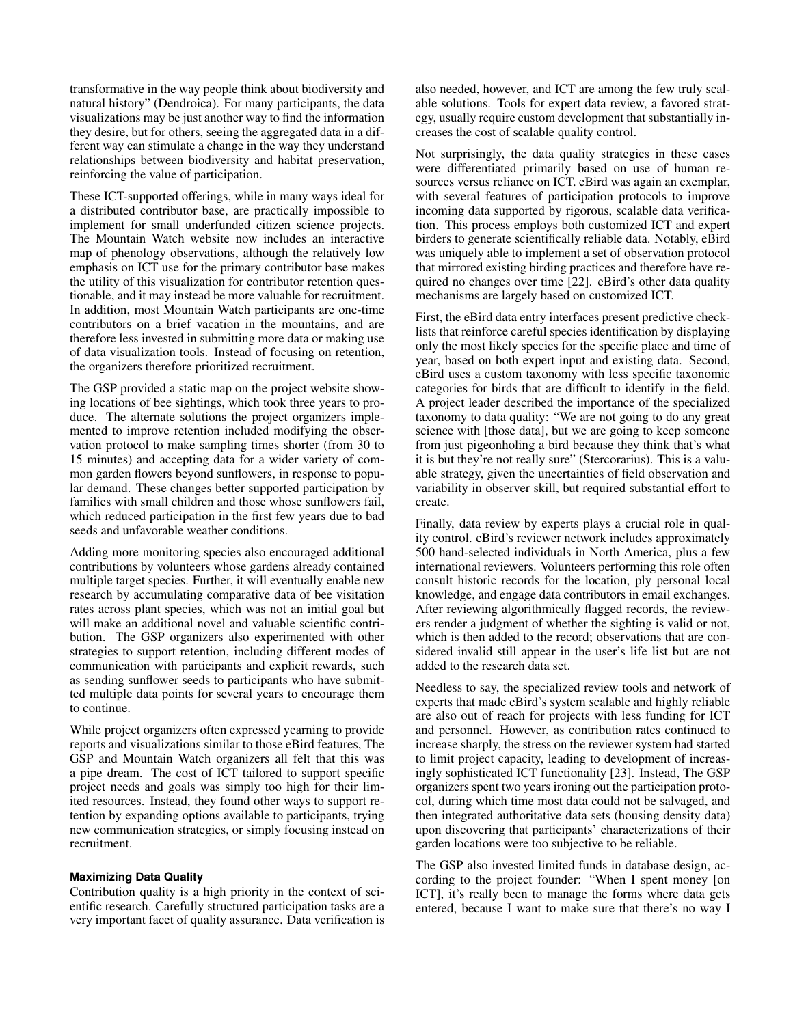transformative in the way people think about biodiversity and natural history" (Dendroica). For many participants, the data visualizations may be just another way to find the information they desire, but for others, seeing the aggregated data in a different way can stimulate a change in the way they understand relationships between biodiversity and habitat preservation, reinforcing the value of participation.

These ICT-supported offerings, while in many ways ideal for a distributed contributor base, are practically impossible to implement for small underfunded citizen science projects. The Mountain Watch website now includes an interactive map of phenology observations, although the relatively low emphasis on ICT use for the primary contributor base makes the utility of this visualization for contributor retention questionable, and it may instead be more valuable for recruitment. In addition, most Mountain Watch participants are one-time contributors on a brief vacation in the mountains, and are therefore less invested in submitting more data or making use of data visualization tools. Instead of focusing on retention, the organizers therefore prioritized recruitment.

The GSP provided a static map on the project website showing locations of bee sightings, which took three years to produce. The alternate solutions the project organizers implemented to improve retention included modifying the observation protocol to make sampling times shorter (from 30 to 15 minutes) and accepting data for a wider variety of common garden flowers beyond sunflowers, in response to popular demand. These changes better supported participation by families with small children and those whose sunflowers fail, which reduced participation in the first few years due to bad seeds and unfavorable weather conditions.

Adding more monitoring species also encouraged additional contributions by volunteers whose gardens already contained multiple target species. Further, it will eventually enable new research by accumulating comparative data of bee visitation rates across plant species, which was not an initial goal but will make an additional novel and valuable scientific contribution. The GSP organizers also experimented with other strategies to support retention, including different modes of communication with participants and explicit rewards, such as sending sunflower seeds to participants who have submitted multiple data points for several years to encourage them to continue.

While project organizers often expressed yearning to provide reports and visualizations similar to those eBird features, The GSP and Mountain Watch organizers all felt that this was a pipe dream. The cost of ICT tailored to support specific project needs and goals was simply too high for their limited resources. Instead, they found other ways to support retention by expanding options available to participants, trying new communication strategies, or simply focusing instead on recruitment.

## **Maximizing Data Quality**

Contribution quality is a high priority in the context of scientific research. Carefully structured participation tasks are a very important facet of quality assurance. Data verification is

also needed, however, and ICT are among the few truly scalable solutions. Tools for expert data review, a favored strategy, usually require custom development that substantially increases the cost of scalable quality control.

Not surprisingly, the data quality strategies in these cases were differentiated primarily based on use of human resources versus reliance on ICT. eBird was again an exemplar, with several features of participation protocols to improve incoming data supported by rigorous, scalable data verification. This process employs both customized ICT and expert birders to generate scientifically reliable data. Notably, eBird was uniquely able to implement a set of observation protocol that mirrored existing birding practices and therefore have required no changes over time [\[22\]](#page-11-2). eBird's other data quality mechanisms are largely based on customized ICT.

First, the eBird data entry interfaces present predictive checklists that reinforce careful species identification by displaying only the most likely species for the specific place and time of year, based on both expert input and existing data. Second, eBird uses a custom taxonomy with less specific taxonomic categories for birds that are difficult to identify in the field. A project leader described the importance of the specialized taxonomy to data quality: "We are not going to do any great science with [those data], but we are going to keep someone from just pigeonholing a bird because they think that's what it is but they're not really sure" (Stercorarius). This is a valuable strategy, given the uncertainties of field observation and variability in observer skill, but required substantial effort to create.

Finally, data review by experts plays a crucial role in quality control. eBird's reviewer network includes approximately 500 hand-selected individuals in North America, plus a few international reviewers. Volunteers performing this role often consult historic records for the location, ply personal local knowledge, and engage data contributors in email exchanges. After reviewing algorithmically flagged records, the reviewers render a judgment of whether the sighting is valid or not, which is then added to the record; observations that are considered invalid still appear in the user's life list but are not added to the research data set.

Needless to say, the specialized review tools and network of experts that made eBird's system scalable and highly reliable are also out of reach for projects with less funding for ICT and personnel. However, as contribution rates continued to increase sharply, the stress on the reviewer system had started to limit project capacity, leading to development of increasingly sophisticated ICT functionality [\[23\]](#page-11-5). Instead, The GSP organizers spent two years ironing out the participation protocol, during which time most data could not be salvaged, and then integrated authoritative data sets (housing density data) upon discovering that participants' characterizations of their garden locations were too subjective to be reliable.

The GSP also invested limited funds in database design, according to the project founder: "When I spent money [on ICT], it's really been to manage the forms where data gets entered, because I want to make sure that there's no way I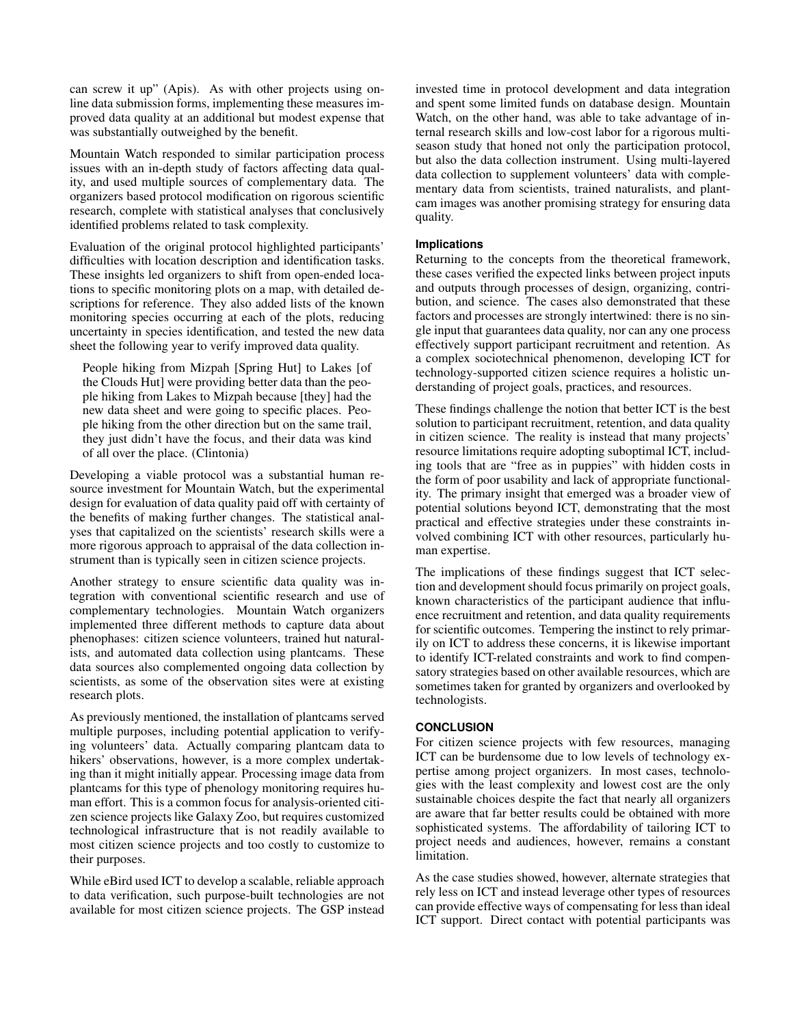can screw it up" (Apis). As with other projects using online data submission forms, implementing these measures improved data quality at an additional but modest expense that was substantially outweighed by the benefit.

Mountain Watch responded to similar participation process issues with an in-depth study of factors affecting data quality, and used multiple sources of complementary data. The organizers based protocol modification on rigorous scientific research, complete with statistical analyses that conclusively identified problems related to task complexity.

Evaluation of the original protocol highlighted participants' difficulties with location description and identification tasks. These insights led organizers to shift from open-ended locations to specific monitoring plots on a map, with detailed descriptions for reference. They also added lists of the known monitoring species occurring at each of the plots, reducing uncertainty in species identification, and tested the new data sheet the following year to verify improved data quality.

People hiking from Mizpah [Spring Hut] to Lakes [of the Clouds Hut] were providing better data than the people hiking from Lakes to Mizpah because [they] had the new data sheet and were going to specific places. People hiking from the other direction but on the same trail, they just didn't have the focus, and their data was kind of all over the place. (Clintonia)

Developing a viable protocol was a substantial human resource investment for Mountain Watch, but the experimental design for evaluation of data quality paid off with certainty of the benefits of making further changes. The statistical analyses that capitalized on the scientists' research skills were a more rigorous approach to appraisal of the data collection instrument than is typically seen in citizen science projects.

Another strategy to ensure scientific data quality was integration with conventional scientific research and use of complementary technologies. Mountain Watch organizers implemented three different methods to capture data about phenophases: citizen science volunteers, trained hut naturalists, and automated data collection using plantcams. These data sources also complemented ongoing data collection by scientists, as some of the observation sites were at existing research plots.

As previously mentioned, the installation of plantcams served multiple purposes, including potential application to verifying volunteers' data. Actually comparing plantcam data to hikers' observations, however, is a more complex undertaking than it might initially appear. Processing image data from plantcams for this type of phenology monitoring requires human effort. This is a common focus for analysis-oriented citizen science projects like Galaxy Zoo, but requires customized technological infrastructure that is not readily available to most citizen science projects and too costly to customize to their purposes.

While eBird used ICT to develop a scalable, reliable approach to data verification, such purpose-built technologies are not available for most citizen science projects. The GSP instead

invested time in protocol development and data integration and spent some limited funds on database design. Mountain Watch, on the other hand, was able to take advantage of internal research skills and low-cost labor for a rigorous multiseason study that honed not only the participation protocol, but also the data collection instrument. Using multi-layered data collection to supplement volunteers' data with complementary data from scientists, trained naturalists, and plantcam images was another promising strategy for ensuring data quality.

## **Implications**

Returning to the concepts from the theoretical framework, these cases verified the expected links between project inputs and outputs through processes of design, organizing, contribution, and science. The cases also demonstrated that these factors and processes are strongly intertwined: there is no single input that guarantees data quality, nor can any one process effectively support participant recruitment and retention. As a complex sociotechnical phenomenon, developing ICT for technology-supported citizen science requires a holistic understanding of project goals, practices, and resources.

These findings challenge the notion that better ICT is the best solution to participant recruitment, retention, and data quality in citizen science. The reality is instead that many projects' resource limitations require adopting suboptimal ICT, including tools that are "free as in puppies" with hidden costs in the form of poor usability and lack of appropriate functionality. The primary insight that emerged was a broader view of potential solutions beyond ICT, demonstrating that the most practical and effective strategies under these constraints involved combining ICT with other resources, particularly human expertise.

The implications of these findings suggest that ICT selection and development should focus primarily on project goals, known characteristics of the participant audience that influence recruitment and retention, and data quality requirements for scientific outcomes. Tempering the instinct to rely primarily on ICT to address these concerns, it is likewise important to identify ICT-related constraints and work to find compensatory strategies based on other available resources, which are sometimes taken for granted by organizers and overlooked by technologists.

# **CONCLUSION**

For citizen science projects with few resources, managing ICT can be burdensome due to low levels of technology expertise among project organizers. In most cases, technologies with the least complexity and lowest cost are the only sustainable choices despite the fact that nearly all organizers are aware that far better results could be obtained with more sophisticated systems. The affordability of tailoring ICT to project needs and audiences, however, remains a constant limitation.

As the case studies showed, however, alternate strategies that rely less on ICT and instead leverage other types of resources can provide effective ways of compensating for less than ideal ICT support. Direct contact with potential participants was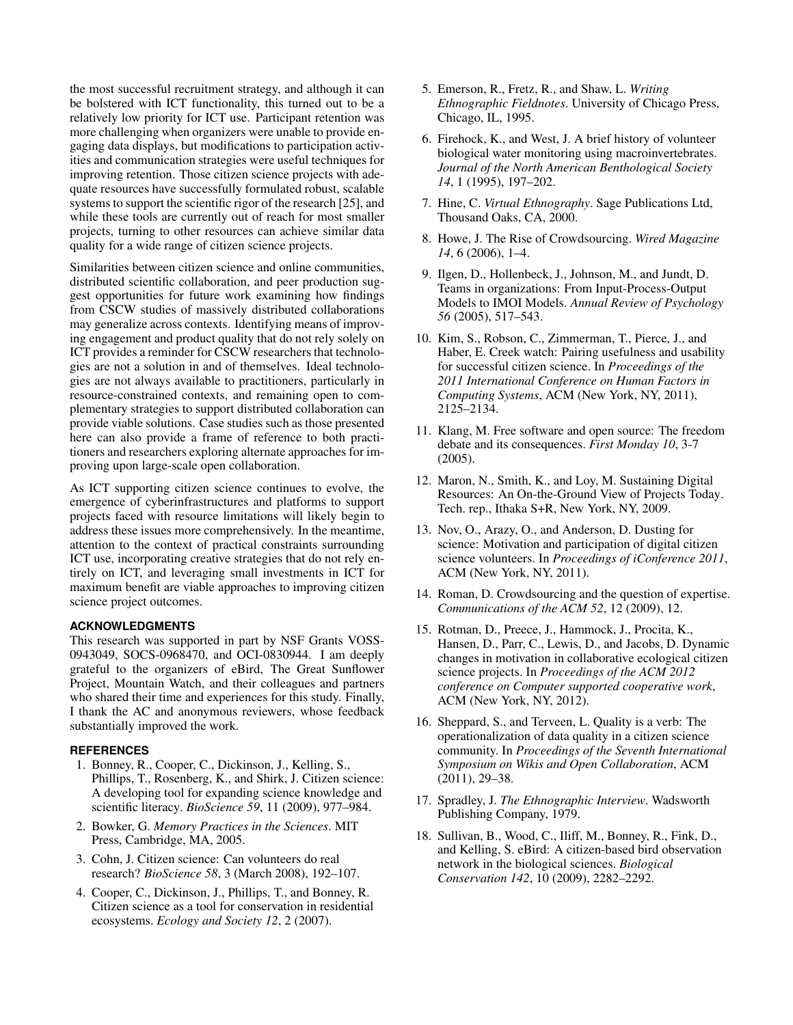the most successful recruitment strategy, and although it can be bolstered with ICT functionality, this turned out to be a relatively low priority for ICT use. Participant retention was more challenging when organizers were unable to provide engaging data displays, but modifications to participation activities and communication strategies were useful techniques for improving retention. Those citizen science projects with adequate resources have successfully formulated robust, scalable systems to support the scientific rigor of the research [\[25\]](#page-11-6), and while these tools are currently out of reach for most smaller projects, turning to other resources can achieve similar data quality for a wide range of citizen science projects.

Similarities between citizen science and online communities, distributed scientific collaboration, and peer production suggest opportunities for future work examining how findings from CSCW studies of massively distributed collaborations may generalize across contexts. Identifying means of improving engagement and product quality that do not rely solely on ICT provides a reminder for CSCW researchers that technologies are not a solution in and of themselves. Ideal technologies are not always available to practitioners, particularly in resource-constrained contexts, and remaining open to complementary strategies to support distributed collaboration can provide viable solutions. Case studies such as those presented here can also provide a frame of reference to both practitioners and researchers exploring alternate approaches for improving upon large-scale open collaboration.

As ICT supporting citizen science continues to evolve, the emergence of cyberinfrastructures and platforms to support projects faced with resource limitations will likely begin to address these issues more comprehensively. In the meantime, attention to the context of practical constraints surrounding ICT use, incorporating creative strategies that do not rely entirely on ICT, and leveraging small investments in ICT for maximum benefit are viable approaches to improving citizen science project outcomes.

# **ACKNOWLEDGMENTS**

This research was supported in part by NSF Grants VOSS-0943049, SOCS-0968470, and OCI-0830944. I am deeply grateful to the organizers of eBird, The Great Sunflower Project, Mountain Watch, and their colleagues and partners who shared their time and experiences for this study. Finally, I thank the AC and anonymous reviewers, whose feedback substantially improved the work.

## <span id="page-10-4"></span>**REFERENCES**

- 1. Bonney, R., Cooper, C., Dickinson, J., Kelling, S., Phillips, T., Rosenberg, K., and Shirk, J. Citizen science: A developing tool for expanding science knowledge and scientific literacy. *BioScience 59*, 11 (2009), 977–984.
- <span id="page-10-1"></span>2. Bowker, G. *Memory Practices in the Sciences*. MIT Press, Cambridge, MA, 2005.
- <span id="page-10-2"></span>3. Cohn, J. Citizen science: Can volunteers do real research? *BioScience 58*, 3 (March 2008), 192–107.
- <span id="page-10-0"></span>4. Cooper, C., Dickinson, J., Phillips, T., and Bonney, R. Citizen science as a tool for conservation in residential ecosystems. *Ecology and Society 12*, 2 (2007).
- <span id="page-10-14"></span>5. Emerson, R., Fretz, R., and Shaw, L. *Writing Ethnographic Fieldnotes*. University of Chicago Press, Chicago, IL, 1995.
- <span id="page-10-3"></span>6. Firehock, K., and West, J. A brief history of volunteer biological water monitoring using macroinvertebrates. *Journal of the North American Benthological Society 14*, 1 (1995), 197–202.
- <span id="page-10-15"></span>7. Hine, C. *Virtual Ethnography*. Sage Publications Ltd, Thousand Oaks, CA, 2000.
- <span id="page-10-7"></span>8. Howe, J. The Rise of Crowdsourcing. *Wired Magazine 14*, 6 (2006), 1–4.
- <span id="page-10-16"></span>9. Ilgen, D., Hollenbeck, J., Johnson, M., and Jundt, D. Teams in organizations: From Input-Process-Output Models to IMOI Models. *Annual Review of Psychology 56* (2005), 517–543.
- <span id="page-10-9"></span>10. Kim, S., Robson, C., Zimmerman, T., Pierce, J., and Haber, E. Creek watch: Pairing usefulness and usability for successful citizen science. In *Proceedings of the 2011 International Conference on Human Factors in Computing Systems*, ACM (New York, NY, 2011), 2125–2134.
- <span id="page-10-11"></span>11. Klang, M. Free software and open source: The freedom debate and its consequences. *First Monday 10*, 3-7 (2005).
- <span id="page-10-17"></span>12. Maron, N., Smith, K., and Loy, M. Sustaining Digital Resources: An On-the-Ground View of Projects Today. Tech. rep., Ithaka S+R, New York, NY, 2009.
- <span id="page-10-6"></span>13. Nov, O., Arazy, O., and Anderson, D. Dusting for science: Motivation and participation of digital citizen science volunteers. In *Proceedings of iConference 2011*, ACM (New York, NY, 2011).
- <span id="page-10-10"></span>14. Roman, D. Crowdsourcing and the question of expertise. *Communications of the ACM 52*, 12 (2009), 12.
- <span id="page-10-5"></span>15. Rotman, D., Preece, J., Hammock, J., Procita, K., Hansen, D., Parr, C., Lewis, D., and Jacobs, D. Dynamic changes in motivation in collaborative ecological citizen science projects. In *Proceedings of the ACM 2012 conference on Computer supported cooperative work*, ACM (New York, NY, 2012).
- <span id="page-10-8"></span>16. Sheppard, S., and Terveen, L. Quality is a verb: The operationalization of data quality in a citizen science community. In *Proceedings of the Seventh International Symposium on Wikis and Open Collaboration*, ACM (2011), 29–38.
- <span id="page-10-13"></span>17. Spradley, J. *The Ethnographic Interview*. Wadsworth Publishing Company, 1979.
- <span id="page-10-12"></span>18. Sullivan, B., Wood, C., Iliff, M., Bonney, R., Fink, D., and Kelling, S. eBird: A citizen-based bird observation network in the biological sciences. *Biological Conservation 142*, 10 (2009), 2282–2292.